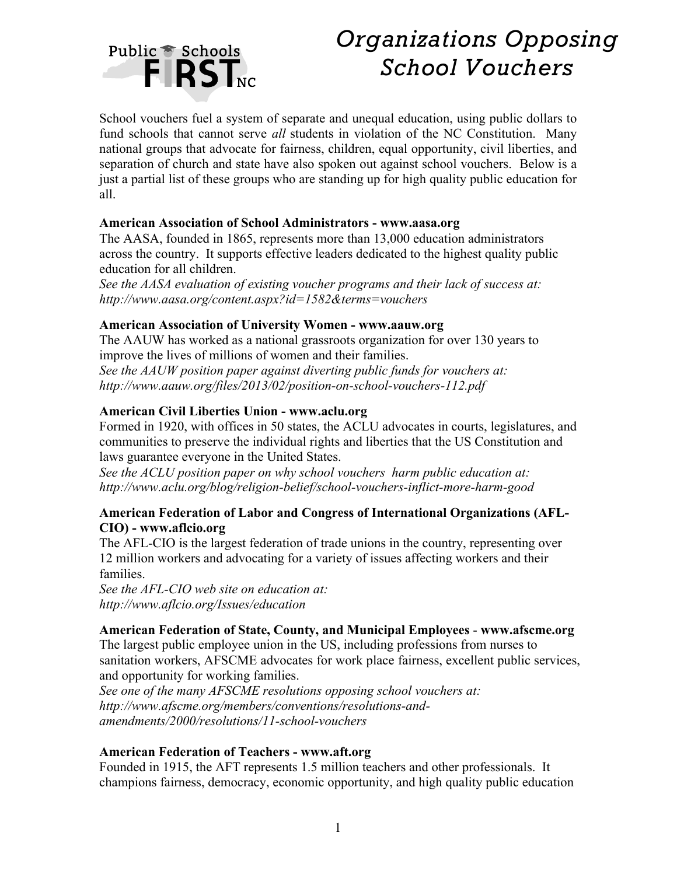

# *Organizations Opposing School Vouchers*

School vouchers fuel a system of separate and unequal education, using public dollars to fund schools that cannot serve *all* students in violation of the NC Constitution. Many national groups that advocate for fairness, children, equal opportunity, civil liberties, and separation of church and state have also spoken out against school vouchers. Below is a just a partial list of these groups who are standing up for high quality public education for all.

## **American Association of School Administrators - www.aasa.org**

The AASA, founded in 1865, represents more than 13,000 education administrators across the country. It supports effective leaders dedicated to the highest quality public education for all children.

*See the AASA evaluation of existing voucher programs and their lack of success at: http://www.aasa.org/content.aspx?id=1582&terms=vouchers*

# **American Association of University Women - www.aauw.org**

The AAUW has worked as a national grassroots organization for over 130 years to improve the lives of millions of women and their families. *See the AAUW position paper against diverting public funds for vouchers at: http://www.aauw.org/files/2013/02/position-on-school-vouchers-112.pdf*

# **American Civil Liberties Union - www.aclu.org**

Formed in 1920, with offices in 50 states, the ACLU advocates in courts, legislatures, and communities to preserve the individual rights and liberties that the US Constitution and laws guarantee everyone in the United States.

*See the ACLU position paper on why school vouchers harm public education at: http://www.aclu.org/blog/religion-belief/school-vouchers-inflict-more-harm-good*

## **American Federation of Labor and Congress of International Organizations (AFL-CIO) - www.aflcio.org**

The AFL-CIO is the largest federation of trade unions in the country, representing over 12 million workers and advocating for a variety of issues affecting workers and their families.

*See the AFL-CIO web site on education at: http://www.aflcio.org/Issues/education*

#### **American Federation of State, County, and Municipal Employees** - **www.afscme.org**

The largest public employee union in the US, including professions from nurses to sanitation workers, AFSCME advocates for work place fairness, excellent public services, and opportunity for working families.

*See one of the many AFSCME resolutions opposing school vouchers at: http://www.afscme.org/members/conventions/resolutions-andamendments/2000/resolutions/11-school-vouchers*

#### **American Federation of Teachers - www.aft.org**

Founded in 1915, the AFT represents 1.5 million teachers and other professionals. It champions fairness, democracy, economic opportunity, and high quality public education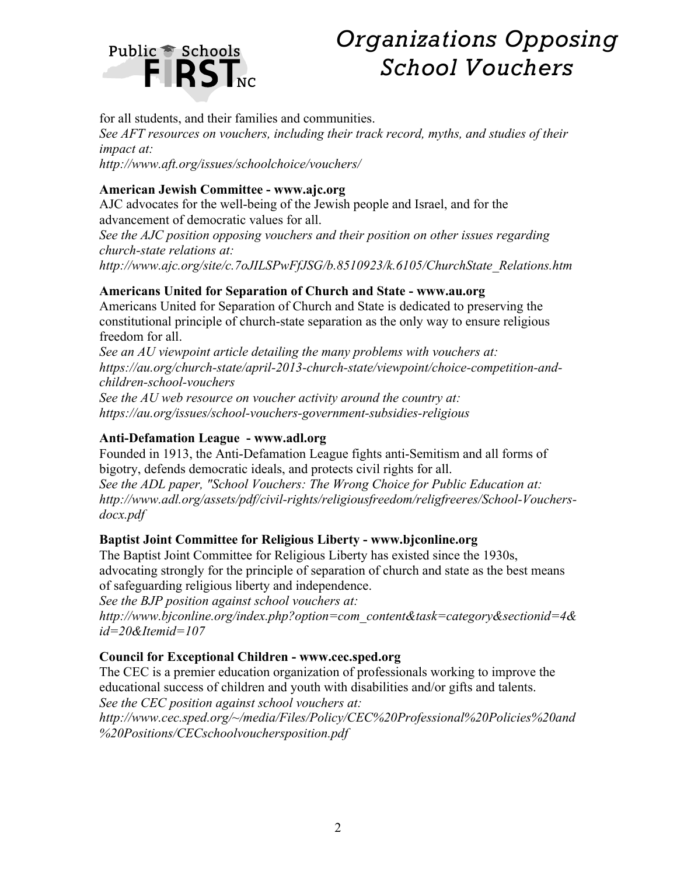# Public & Schools<br>
FIRST<sub>NC</sub>

# *Organizations Opposing School Vouchers*

for all students, and their families and communities.

*See AFT resources on vouchers, including their track record, myths, and studies of their impact at:*

*http://www.aft.org/issues/schoolchoice/vouchers/*

# **American Jewish Committee - www.ajc.org**

AJC advocates for the well-being of the Jewish people and Israel, and for the advancement of democratic values for all.

*See the AJC position opposing vouchers and their position on other issues regarding church-state relations at:*

*http://www.ajc.org/site/c.7oJILSPwFfJSG/b.8510923/k.6105/ChurchState\_Relations.htm*

# **Americans United for Separation of Church and State - www.au.org**

Americans United for Separation of Church and State is dedicated to preserving the constitutional principle of church-state separation as the only way to ensure religious freedom for all.

*See an AU viewpoint article detailing the many problems with vouchers at: https://au.org/church-state/april-2013-church-state/viewpoint/choice-competition-andchildren-school-vouchers*

*See the AU web resource on voucher activity around the country at: https://au.org/issues/school-vouchers-government-subsidies-religious*

# **Anti-Defamation League - www.adl.org**

Founded in 1913, the Anti-Defamation League fights anti-Semitism and all forms of bigotry, defends democratic ideals, and protects civil rights for all. *See the ADL paper, "School Vouchers: The Wrong Choice for Public Education at: http://www.adl.org/assets/pdf/civil-rights/religiousfreedom/religfreeres/School-Vouchersdocx.pdf*

# **Baptist Joint Committee for Religious Liberty - www.bjconline.org**

The Baptist Joint Committee for Religious Liberty has existed since the 1930s, advocating strongly for the principle of separation of church and state as the best means of safeguarding religious liberty and independence.

*See the BJP position against school vouchers at:* 

*http://www.bjconline.org/index.php?option=com\_content&task=category&sectionid=4& id=20&Itemid=107*

# **Council for Exceptional Children - www.cec.sped.org**

The CEC is a premier education organization of professionals working to improve the educational success of children and youth with disabilities and/or gifts and talents. *See the CEC position against school vouchers at:*

*http://www.cec.sped.org/~/media/Files/Policy/CEC%20Professional%20Policies%20and %20Positions/CECschoolvouchersposition.pdf*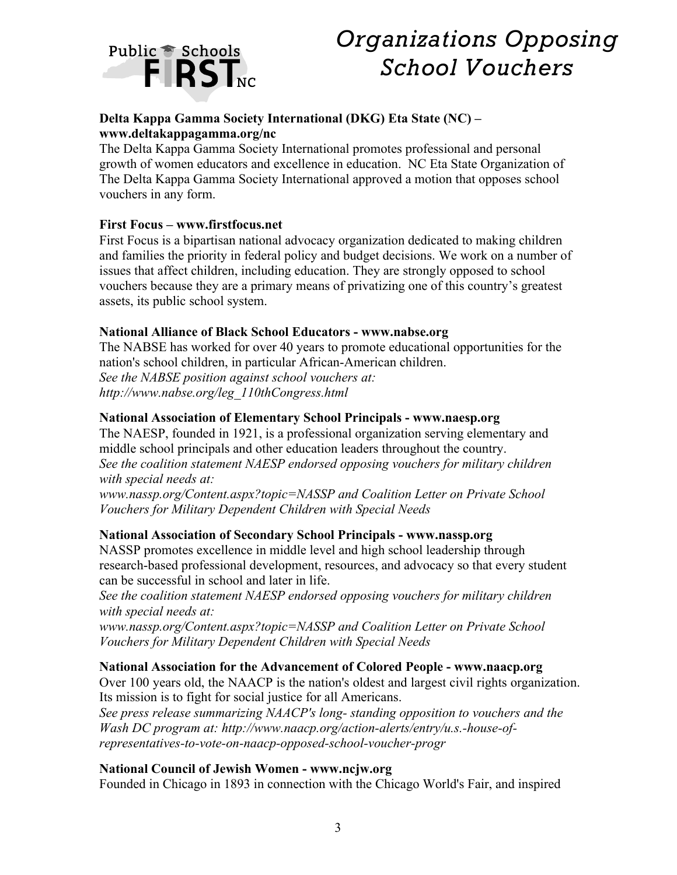

# *Organizations Opposing School Vouchers*

# **Delta Kappa Gamma Society International (DKG) Eta State (NC) – www.deltakappagamma.org/nc**

The Delta Kappa Gamma Society International promotes professional and personal growth of women educators and excellence in education. NC Eta State Organization of The Delta Kappa Gamma Society International approved a motion that opposes school vouchers in any form.

# **First Focus – www.firstfocus.net**

First Focus is a bipartisan national advocacy organization dedicated to making children and families the priority in federal policy and budget decisions. We work on a number of issues that affect children, including education. They are strongly opposed to school vouchers because they are a primary means of privatizing one of this country's greatest assets, its public school system.

## **National Alliance of Black School Educators - www.nabse.org**

The NABSE has worked for over 40 years to promote educational opportunities for the nation's school children, in particular African-American children. *See the NABSE position against school vouchers at: http://www.nabse.org/leg\_110thCongress.html*

## **National Association of Elementary School Principals - www.naesp.org**

The NAESP, founded in 1921, is a professional organization serving elementary and middle school principals and other education leaders throughout the country. *See the coalition statement NAESP endorsed opposing vouchers for military children with special needs at:*

*www.nassp.org/Content.aspx?topic=NASSP and Coalition Letter on Private School Vouchers for Military Dependent Children with Special Needs*

# **National Association of Secondary School Principals - www.nassp.org**

NASSP promotes excellence in middle level and high school leadership through research-based professional development, resources, and advocacy so that every student can be successful in school and later in life.

*See the coalition statement NAESP endorsed opposing vouchers for military children with special needs at:*

*www.nassp.org/Content.aspx?topic=NASSP and Coalition Letter on Private School Vouchers for Military Dependent Children with Special Needs*

#### **National Association for the Advancement of Colored People - www.naacp.org**

Over 100 years old, the NAACP is the nation's oldest and largest civil rights organization. Its mission is to fight for social justice for all Americans.

*See press release summarizing NAACP's long- standing opposition to vouchers and the Wash DC program at: http://www.naacp.org/action-alerts/entry/u.s.-house-ofrepresentatives-to-vote-on-naacp-opposed-school-voucher-progr*

#### **National Council of Jewish Women - www.ncjw.org**

Founded in Chicago in 1893 in connection with the Chicago World's Fair, and inspired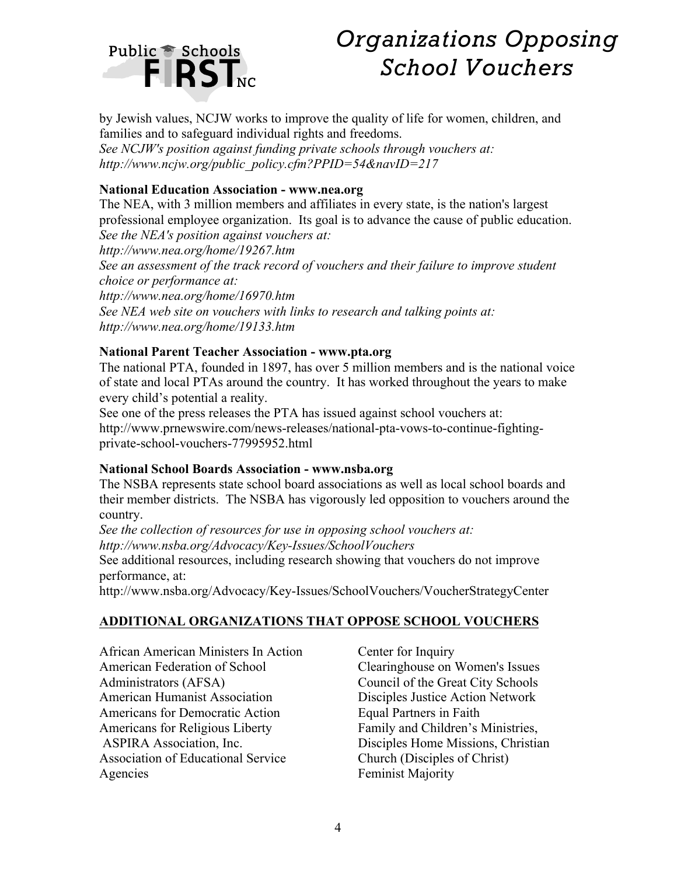

# *Organizations Opposing School Vouchers*

by Jewish values, NCJW works to improve the quality of life for women, children, and families and to safeguard individual rights and freedoms.

*See NCJW's position against funding private schools through vouchers at: http://www.ncjw.org/public\_policy.cfm?PPID=54&navID=217*

## **National Education Association - www.nea.org**

The NEA, with 3 million members and affiliates in every state, is the nation's largest professional employee organization. Its goal is to advance the cause of public education. *See the NEA's position against vouchers at:*

*http://www.nea.org/home/19267.htm* See an assessment of the track record of vouchers and their failure to improve student *choice or performance at: http://www.nea.org/home/16970.htm See NEA web site on vouchers with links to research and talking points at: http://www.nea.org/home/19133.htm*

## **National Parent Teacher Association - www.pta.org**

The national PTA, founded in 1897, has over 5 million members and is the national voice of state and local PTAs around the country. It has worked throughout the years to make every child's potential a reality.

See one of the press releases the PTA has issued against school vouchers at: http://www.prnewswire.com/news-releases/national-pta-vows-to-continue-fightingprivate-school-vouchers-77995952.html

#### **National School Boards Association - www.nsba.org**

The NSBA represents state school board associations as well as local school boards and their member districts. The NSBA has vigorously led opposition to vouchers around the country.

*See the collection of resources for use in opposing school vouchers at: http://www.nsba.org/Advocacy/Key-Issues/SchoolVouchers* See additional resources, including research showing that vouchers do not improve

performance, at: http://www.nsba.org/Advocacy/Key-Issues/SchoolVouchers/VoucherStrategyCenter

# **ADDITIONAL ORGANIZATIONS THAT OPPOSE SCHOOL VOUCHERS**

African American Ministers In Action American Federation of School Administrators (AFSA) American Humanist Association Americans for Democratic Action Americans for Religious Liberty ASPIRA Association, Inc. Association of Educational Service Agencies

Center for Inquiry Clearinghouse on Women's Issues Council of the Great City Schools Disciples Justice Action Network Equal Partners in Faith Family and Children's Ministries, Disciples Home Missions, Christian Church (Disciples of Christ) Feminist Majority